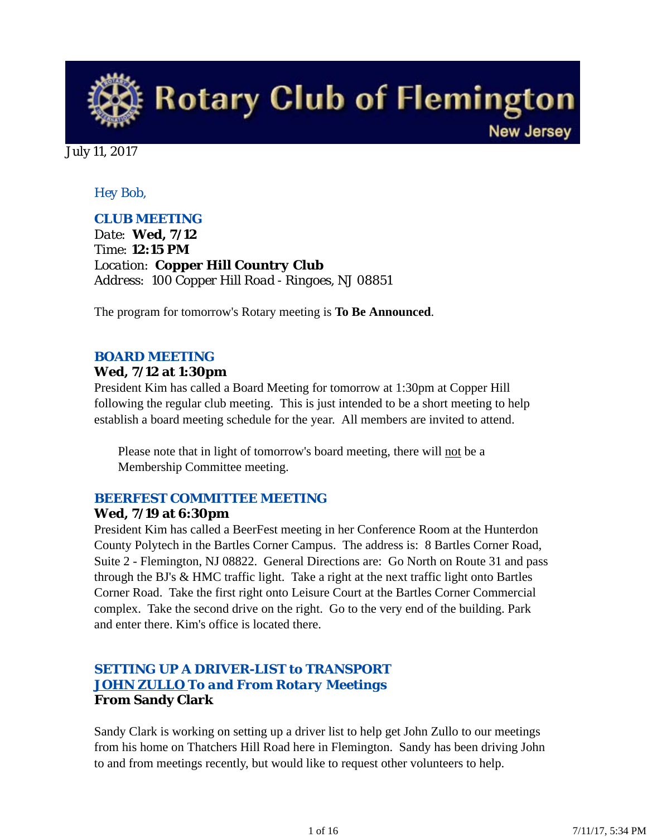

July 11, 2017

# *Hey Bob,*

# *CLUB MEETING*

*Date: Wed, 7/12 Time: 12:15 PM Location: Copper Hill Country Club Address: 100 Copper Hill Road - Ringoes, NJ 08851*

The program for tomorrow's Rotary meeting is **To Be Announced**.

# *BOARD MEETING*

#### **Wed, 7/12 at 1:30pm**

President Kim has called a Board Meeting for tomorrow at 1:30pm at Copper Hill following the regular club meeting. This is just intended to be a short meeting to help establish a board meeting schedule for the year. All members are invited to attend.

Please note that in light of tomorrow's board meeting, there will not be a Membership Committee meeting.

### *BEERFEST COMMITTEE MEETING*

#### **Wed, 7/19 at 6:30pm**

President Kim has called a BeerFest meeting in her Conference Room at the Hunterdon County Polytech in the Bartles Corner Campus. The address is: 8 Bartles Corner Road, Suite 2 - Flemington, NJ 08822. General Directions are: Go North on Route 31 and pass through the BJ's & HMC traffic light. Take a right at the next traffic light onto Bartles Corner Road. Take the first right onto Leisure Court at the Bartles Corner Commercial complex. Take the second drive on the right. Go to the very end of the building. Park and enter there. Kim's office is located there.

# *SETTING UP A DRIVER-LIST to TRANSPORT JOHN ZULLO To and From Rotary Meetings* **From Sandy Clark**

Sandy Clark is working on setting up a driver list to help get John Zullo to our meetings from his home on Thatchers Hill Road here in Flemington. Sandy has been driving John to and from meetings recently, but would like to request other volunteers to help.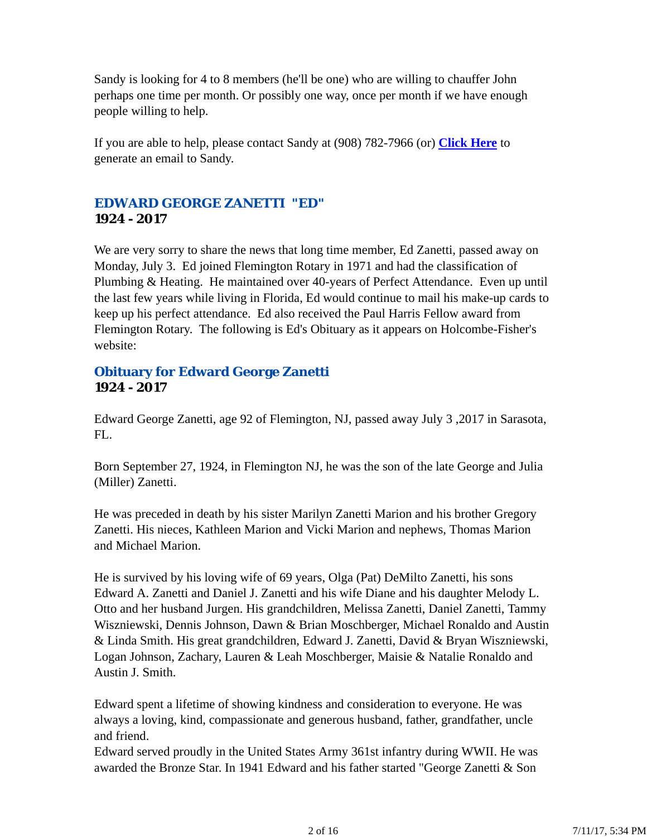Sandy is looking for 4 to 8 members (he'll be one) who are willing to chauffer John perhaps one time per month. Or possibly one way, once per month if we have enough people willing to help.

If you are able to help, please contact Sandy at (908) 782-7966 (or) **Click Here** to generate an email to Sandy.

# *EDWARD GEORGE ZANETTI "ED"* **1924 - 2017**

We are very sorry to share the news that long time member, Ed Zanetti, passed away on Monday, July 3. Ed joined Flemington Rotary in 1971 and had the classification of Plumbing & Heating. He maintained over 40-years of Perfect Attendance. Even up until the last few years while living in Florida, Ed would continue to mail his make-up cards to keep up his perfect attendance. Ed also received the Paul Harris Fellow award from Flemington Rotary. The following is Ed's Obituary as it appears on Holcombe-Fisher's website:

### **Obituary for Edward George Zanetti 1924 - 2017**

Edward George Zanetti, age 92 of Flemington, NJ, passed away July 3 ,2017 in Sarasota, FL.

Born September 27, 1924, in Flemington NJ, he was the son of the late George and Julia (Miller) Zanetti.

He was preceded in death by his sister Marilyn Zanetti Marion and his brother Gregory Zanetti. His nieces, Kathleen Marion and Vicki Marion and nephews, Thomas Marion and Michael Marion.

He is survived by his loving wife of 69 years, Olga (Pat) DeMilto Zanetti, his sons Edward A. Zanetti and Daniel J. Zanetti and his wife Diane and his daughter Melody L. Otto and her husband Jurgen. His grandchildren, Melissa Zanetti, Daniel Zanetti, Tammy Wiszniewski, Dennis Johnson, Dawn & Brian Moschberger, Michael Ronaldo and Austin & Linda Smith. His great grandchildren, Edward J. Zanetti, David & Bryan Wiszniewski, Logan Johnson, Zachary, Lauren & Leah Moschberger, Maisie & Natalie Ronaldo and Austin J. Smith.

Edward spent a lifetime of showing kindness and consideration to everyone. He was always a loving, kind, compassionate and generous husband, father, grandfather, uncle and friend.

Edward served proudly in the United States Army 361st infantry during WWII. He was awarded the Bronze Star. In 1941 Edward and his father started "George Zanetti & Son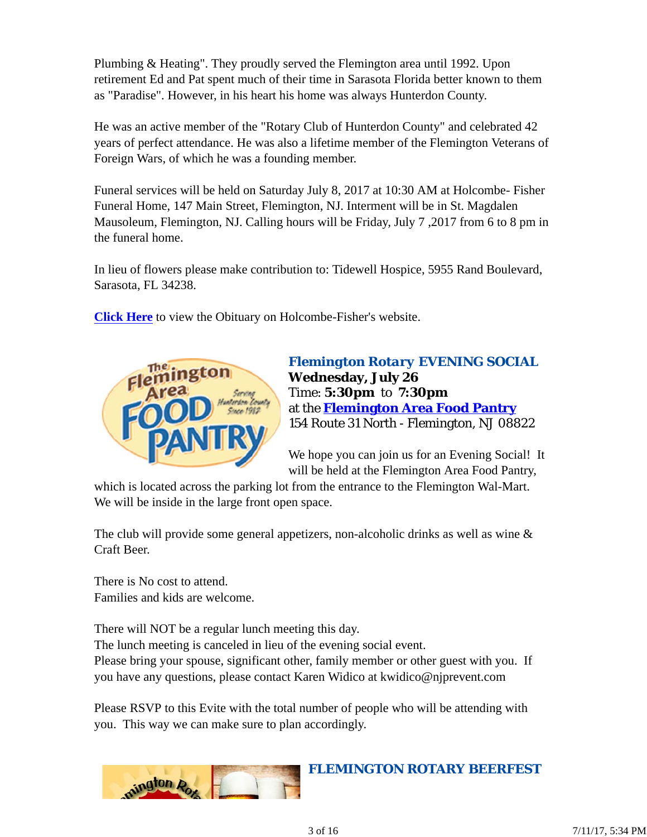Plumbing & Heating". They proudly served the Flemington area until 1992. Upon retirement Ed and Pat spent much of their time in Sarasota Florida better known to them as "Paradise". However, in his heart his home was always Hunterdon County.

He was an active member of the "Rotary Club of Hunterdon County" and celebrated 42 years of perfect attendance. He was also a lifetime member of the Flemington Veterans of Foreign Wars, of which he was a founding member.

Funeral services will be held on Saturday July 8, 2017 at 10:30 AM at Holcombe- Fisher Funeral Home, 147 Main Street, Flemington, NJ. Interment will be in St. Magdalen Mausoleum, Flemington, NJ. Calling hours will be Friday, July 7 ,2017 from 6 to 8 pm in the funeral home.

In lieu of flowers please make contribution to: Tidewell Hospice, 5955 Rand Boulevard, Sarasota, FL 34238.

**Click Here** to view the Obituary on Holcombe-Fisher's website.



*Flemington Rotary EVENING SOCIAL* **Wednesday, July 26** Time: **5:30pm** to **7:30pm** at the **Flemington Area Food Pantry** 154 Route 31 North - Flemington, NJ 08822

We hope you can join us for an Evening Social! It will be held at the Flemington Area Food Pantry,

which is located across the parking lot from the entrance to the Flemington Wal-Mart. We will be inside in the large front open space.

The club will provide some general appetizers, non-alcoholic drinks as well as wine & Craft Beer.

There is No cost to attend. Families and kids are welcome.

There will NOT be a regular lunch meeting this day. The lunch meeting is canceled in lieu of the evening social event. Please bring your spouse, significant other, family member or other guest with you. If you have any questions, please contact Karen Widico at kwidico@njprevent.com

Please RSVP to this Evite with the total number of people who will be attending with you. This way we can make sure to plan accordingly.



### *FLEMINGTON ROTARY BEERFEST*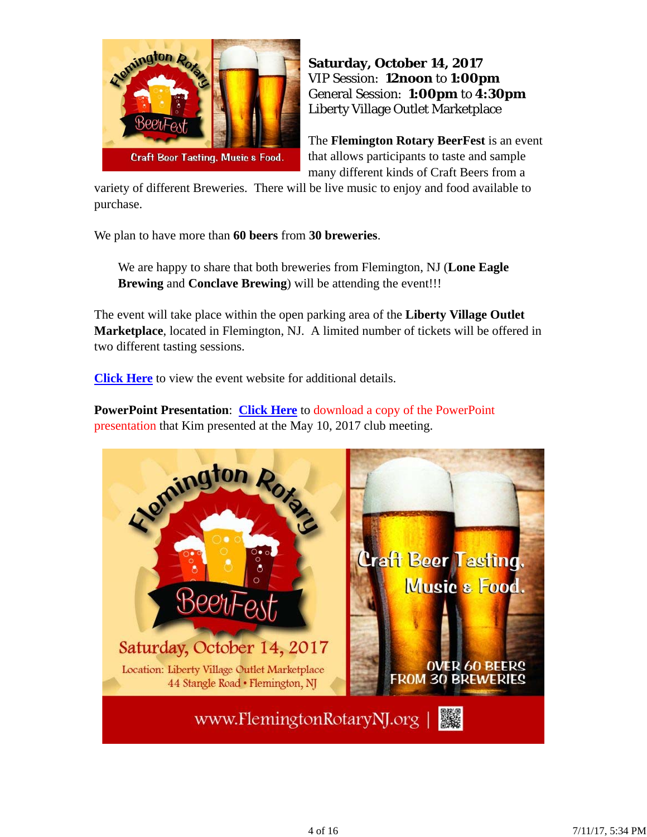

# **Saturday, October 14, 2017** VIP Session: **12noon** to **1:00pm** General Session: **1:00pm** to **4:30pm** Liberty Village Outlet Marketplace

The **Flemington Rotary BeerFest** is an event that allows participants to taste and sample many different kinds of Craft Beers from a

variety of different Breweries. There will be live music to enjoy and food available to purchase.

We plan to have more than **60 beers** from **30 breweries**.

We are happy to share that both breweries from Flemington, NJ (**Lone Eagle Brewing** and **Conclave Brewing**) will be attending the event!!!

The event will take place within the open parking area of the **Liberty Village Outlet Marketplace**, located in Flemington, NJ. A limited number of tickets will be offered in two different tasting sessions.

**Click Here** to view the event website for additional details.

**PowerPoint Presentation**: **Click Here** to download a copy of the PowerPoint presentation that Kim presented at the May 10, 2017 club meeting.

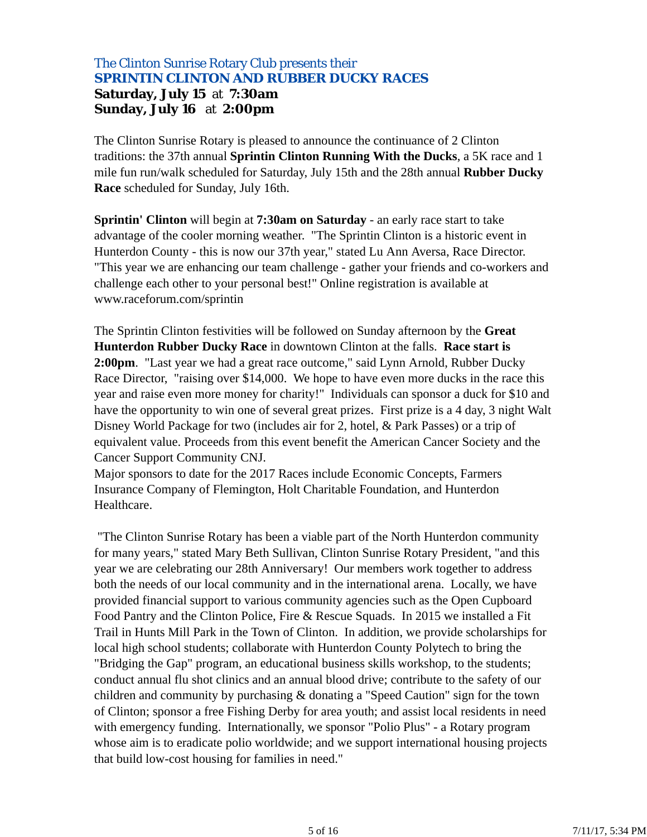# The Clinton Sunrise Rotary Club presents their *SPRINTIN CLINTON AND RUBBER DUCKY RACES* **Saturday, July 15** at **7:30am Sunday, July 16** at **2:00pm**

The Clinton Sunrise Rotary is pleased to announce the continuance of 2 Clinton traditions: the 37th annual **Sprintin Clinton Running With the Ducks**, a 5K race and 1 mile fun run/walk scheduled for Saturday, July 15th and the 28th annual **Rubber Ducky Race** scheduled for Sunday, July 16th.

**Sprintin' Clinton** will begin at **7:30am on Saturday** - an early race start to take advantage of the cooler morning weather. "The Sprintin Clinton is a historic event in Hunterdon County - this is now our 37th year," stated Lu Ann Aversa, Race Director. "This year we are enhancing our team challenge - gather your friends and co-workers and challenge each other to your personal best!" Online registration is available at www.raceforum.com/sprintin

The Sprintin Clinton festivities will be followed on Sunday afternoon by the **Great Hunterdon Rubber Ducky Race** in downtown Clinton at the falls. **Race start is 2:00pm**. "Last year we had a great race outcome," said Lynn Arnold, Rubber Ducky Race Director, "raising over \$14,000. We hope to have even more ducks in the race this year and raise even more money for charity!" Individuals can sponsor a duck for \$10 and have the opportunity to win one of several great prizes. First prize is a 4 day, 3 night Walt Disney World Package for two (includes air for 2, hotel, & Park Passes) or a trip of equivalent value. Proceeds from this event benefit the American Cancer Society and the Cancer Support Community CNJ.

Major sponsors to date for the 2017 Races include Economic Concepts, Farmers Insurance Company of Flemington, Holt Charitable Foundation, and Hunterdon Healthcare.

 "The Clinton Sunrise Rotary has been a viable part of the North Hunterdon community for many years," stated Mary Beth Sullivan, Clinton Sunrise Rotary President, "and this year we are celebrating our 28th Anniversary! Our members work together to address both the needs of our local community and in the international arena. Locally, we have provided financial support to various community agencies such as the Open Cupboard Food Pantry and the Clinton Police, Fire & Rescue Squads. In 2015 we installed a Fit Trail in Hunts Mill Park in the Town of Clinton. In addition, we provide scholarships for local high school students; collaborate with Hunterdon County Polytech to bring the "Bridging the Gap" program, an educational business skills workshop, to the students; conduct annual flu shot clinics and an annual blood drive; contribute to the safety of our children and community by purchasing & donating a "Speed Caution" sign for the town of Clinton; sponsor a free Fishing Derby for area youth; and assist local residents in need with emergency funding. Internationally, we sponsor "Polio Plus" - a Rotary program whose aim is to eradicate polio worldwide; and we support international housing projects that build low-cost housing for families in need."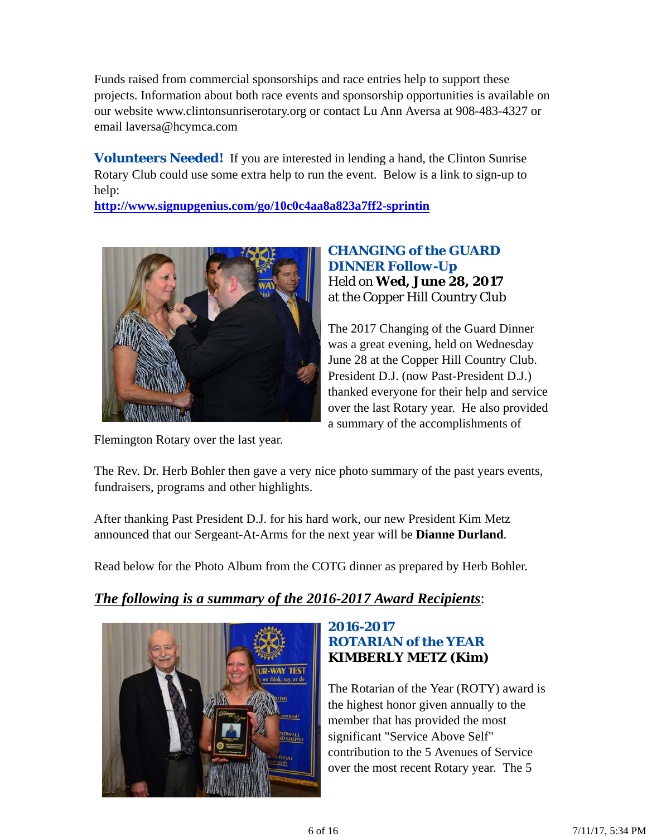Funds raised from commercial sponsorships and race entries help to support these projects. Information about both race events and sponsorship opportunities is available on our website www.clintonsunriserotary.org or contact Lu Ann Aversa at 908-483-4327 or email laversa@hcymca.com

**Volunteers Needed!** If you are interested in lending a hand, the Clinton Sunrise Rotary Club could use some extra help to run the event. Below is a link to sign-up to help:

**http://www.signupgenius.com/go/10c0c4aa8a823a7ff2-sprintin**



# *CHANGING of the GUARD DINNER Follow-Up* Held on **Wed, June 28, 2017** at the Copper Hill Country Club

The 2017 Changing of the Guard Dinner was a great evening, held on Wednesday June 28 at the Copper Hill Country Club. President D.J. (now Past-President D.J.) thanked everyone for their help and service over the last Rotary year. He also provided a summary of the accomplishments of

Flemington Rotary over the last year.

The Rev. Dr. Herb Bohler then gave a very nice photo summary of the past years events, fundraisers, programs and other highlights.

After thanking Past President D.J. for his hard work, our new President Kim Metz announced that our Sergeant-At-Arms for the next year will be **Dianne Durland**.

Read below for the Photo Album from the COTG dinner as prepared by Herb Bohler.

# *The following is a summary of the 2016-2017 Award Recipients*:



# *2016-2017 ROTARIAN of the YEAR* **KIMBERLY METZ (Kim)**

The Rotarian of the Year (ROTY) award is the highest honor given annually to the member that has provided the most significant "Service Above Self" contribution to the 5 Avenues of Service over the most recent Rotary year. The 5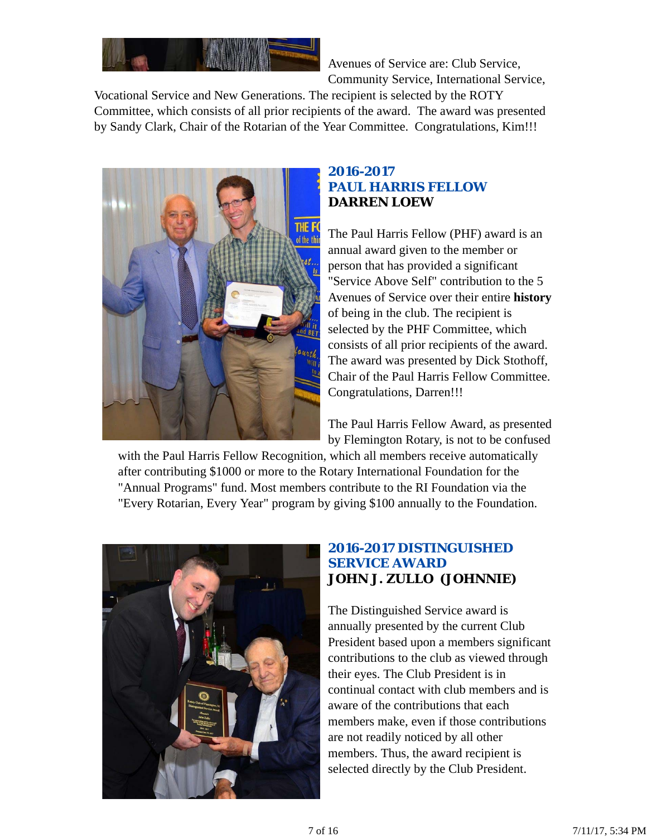

Avenues of Service are: Club Service, Community Service, International Service,

Vocational Service and New Generations. The recipient is selected by the ROTY Committee, which consists of all prior recipients of the award. The award was presented by Sandy Clark, Chair of the Rotarian of the Year Committee. Congratulations, Kim!!!



# *2016-2017 PAUL HARRIS FELLOW* **DARREN LOEW**

The Paul Harris Fellow (PHF) award is an annual award given to the member or person that has provided a significant "Service Above Self" contribution to the 5 Avenues of Service over their entire **history** of being in the club. The recipient is selected by the PHF Committee, which consists of all prior recipients of the award. The award was presented by Dick Stothoff, Chair of the Paul Harris Fellow Committee. Congratulations, Darren!!!

The Paul Harris Fellow Award, as presented by Flemington Rotary, is not to be confused

with the Paul Harris Fellow Recognition, which all members receive automatically after contributing \$1000 or more to the Rotary International Foundation for the "Annual Programs" fund. Most members contribute to the RI Foundation via the "Every Rotarian, Every Year" program by giving \$100 annually to the Foundation.



### *2016-2017 DISTINGUISHED SERVICE AWARD* **JOHN J. ZULLO (JOHNNIE)**

The Distinguished Service award is annually presented by the current Club President based upon a members significant contributions to the club as viewed through their eyes. The Club President is in continual contact with club members and is aware of the contributions that each members make, even if those contributions are not readily noticed by all other members. Thus, the award recipient is selected directly by the Club President.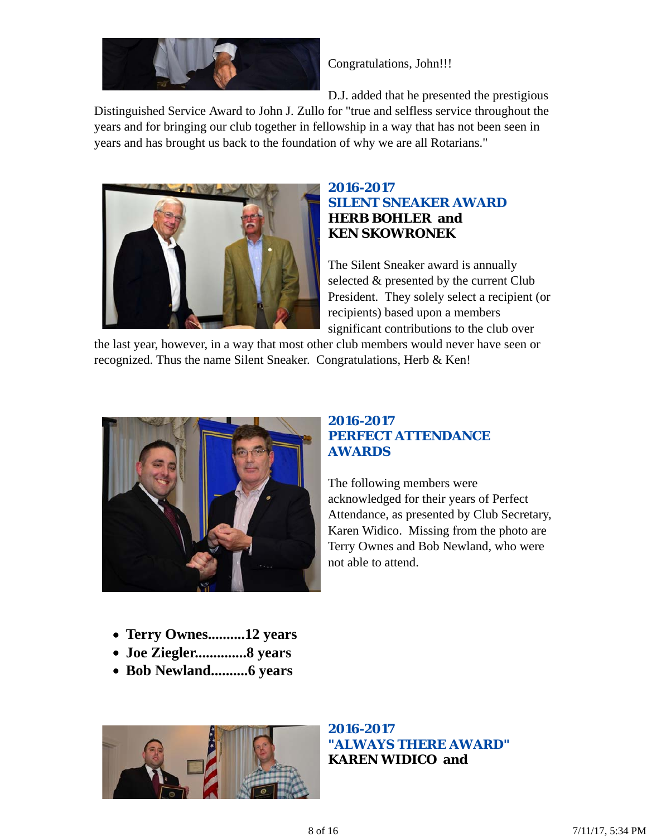

Congratulations, John!!!

D.J. added that he presented the prestigious

Distinguished Service Award to John J. Zullo for "true and selfless service throughout the years and for bringing our club together in fellowship in a way that has not been seen in years and has brought us back to the foundation of why we are all Rotarians."



# *2016-2017 SILENT SNEAKER AWARD* **HERB BOHLER and KEN SKOWRONEK**

The Silent Sneaker award is annually selected & presented by the current Club President. They solely select a recipient (or recipients) based upon a members significant contributions to the club over

the last year, however, in a way that most other club members would never have seen or recognized. Thus the name Silent Sneaker. Congratulations, Herb & Ken!



# *2016-2017 PERFECT ATTENDANCE AWARDS*

The following members were acknowledged for their years of Perfect Attendance, as presented by Club Secretary, Karen Widico. Missing from the photo are Terry Ownes and Bob Newland, who were not able to attend.

- **Terry Ownes..........12 years**
- **Joe Ziegler..............8 years**
- **Bob Newland..........6 years**



*2016-2017 "ALWAYS THERE AWARD"* **KAREN WIDICO and**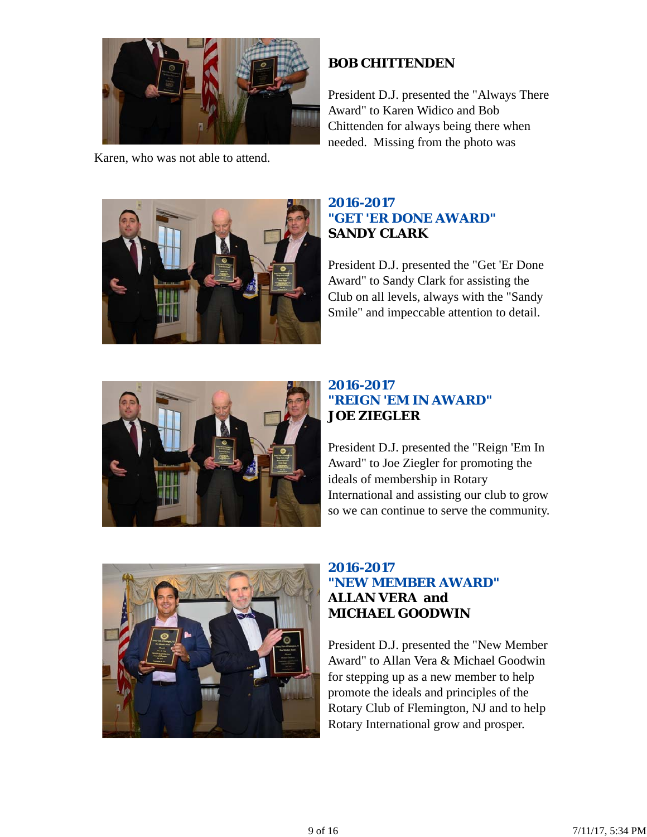

Karen, who was not able to attend.

# **BOB CHITTENDEN**

President D.J. presented the "Always There Award" to Karen Widico and Bob Chittenden for always being there when needed. Missing from the photo was



# *2016-2017 "GET 'ER DONE AWARD"* **SANDY CLARK**

President D.J. presented the "Get 'Er Done Award" to Sandy Clark for assisting the Club on all levels, always with the "Sandy Smile" and impeccable attention to detail.



# *2016-2017 "REIGN 'EM IN AWARD"* **JOE ZIEGLER**

President D.J. presented the "Reign 'Em In Award" to Joe Ziegler for promoting the ideals of membership in Rotary International and assisting our club to grow so we can continue to serve the community.



# *2016-2017 "NEW MEMBER AWARD"* **ALLAN VERA and MICHAEL GOODWIN**

President D.J. presented the "New Member Award" to Allan Vera & Michael Goodwin for stepping up as a new member to help promote the ideals and principles of the Rotary Club of Flemington, NJ and to help Rotary International grow and prosper.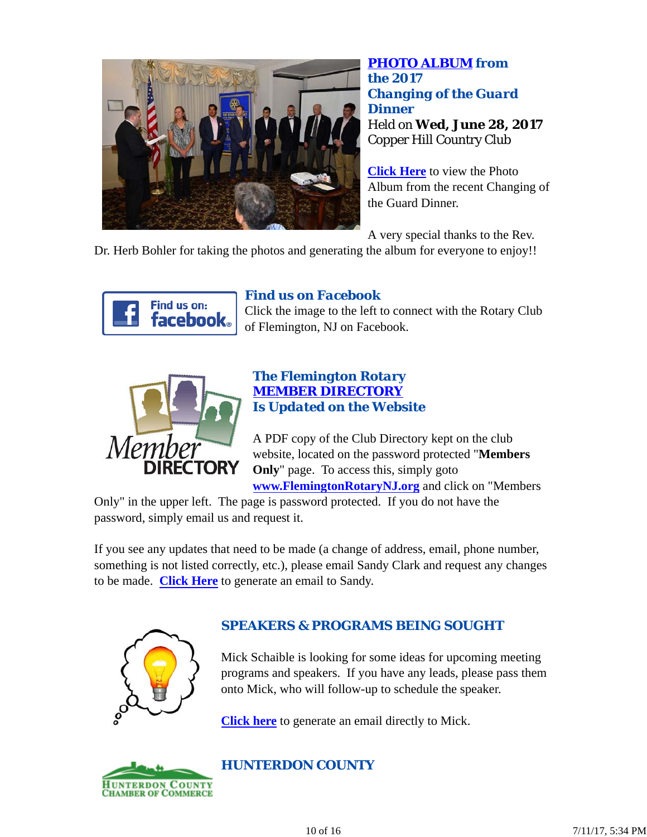

*PHOTO ALBUM from the 2017 Changing of the Guard Dinner* Held on **Wed, June 28, 2017** Copper Hill Country Club

**Click Here** to view the Photo Album from the recent Changing of the Guard Dinner.

A very special thanks to the Rev.

Dr. Herb Bohler for taking the photos and generating the album for everyone to enjoy!!



# *Find us on Facebook*

Click the image to the left to connect with the Rotary Club of Flemington, NJ on Facebook.



# *The Flemington Rotary MEMBER DIRECTORY Is Updated on the Website*

A PDF copy of the Club Directory kept on the club website, located on the password protected "**Members Only**" page. To access this, simply goto **www.FlemingtonRotaryNJ.org** and click on "Members

Only" in the upper left. The page is password protected. If you do not have the password, simply email us and request it.

If you see any updates that need to be made (a change of address, email, phone number, something is not listed correctly, etc.), please email Sandy Clark and request any changes to be made. **Click Here** to generate an email to Sandy.



# *SPEAKERS & PROGRAMS BEING SOUGHT*

Mick Schaible is looking for some ideas for upcoming meeting programs and speakers. If you have any leads, please pass them onto Mick, who will follow-up to schedule the speaker.

**Click here** to generate an email directly to Mick.



# *HUNTERDON COUNTY*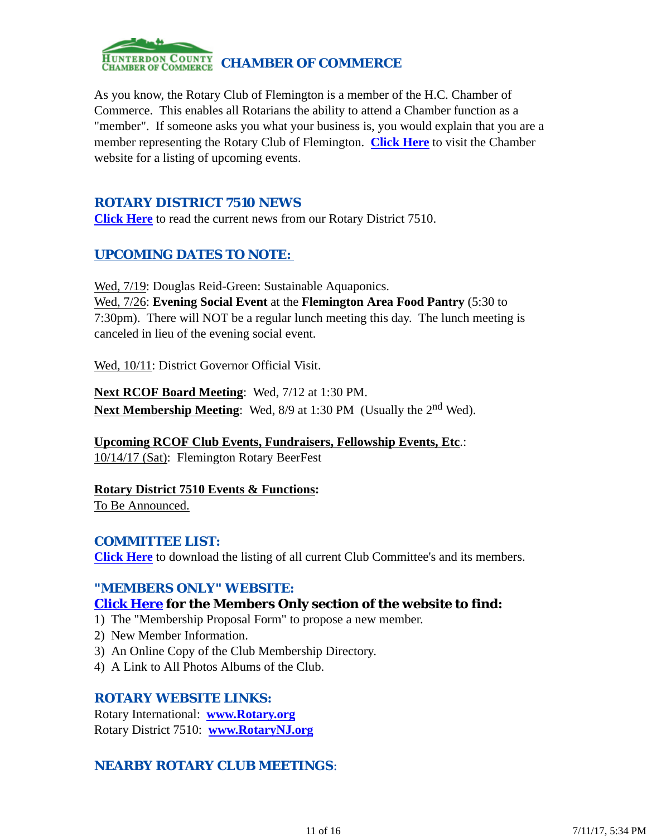

As you know, the Rotary Club of Flemington is a member of the H.C. Chamber of Commerce. This enables all Rotarians the ability to attend a Chamber function as a "member". If someone asks you what your business is, you would explain that you are a member representing the Rotary Club of Flemington. **Click Here** to visit the Chamber website for a listing of upcoming events.

# *ROTARY DISTRICT 7510 NEWS*

**Click Here** to read the current news from our Rotary District 7510.

# *UPCOMING DATES TO NOTE:*

Wed, 7/19: Douglas Reid-Green: Sustainable Aquaponics. Wed, 7/26: **Evening Social Event** at the **Flemington Area Food Pantry** (5:30 to 7:30pm). There will NOT be a regular lunch meeting this day. The lunch meeting is canceled in lieu of the evening social event.

Wed, 10/11: District Governor Official Visit.

**Next RCOF Board Meeting**: Wed, 7/12 at 1:30 PM. **Next Membership Meeting:** Wed, 8/9 at 1:30 PM (Usually the 2<sup>nd</sup> Wed).

**Upcoming RCOF Club Events, Fundraisers, Fellowship Events, Etc**.: 10/14/17 (Sat): Flemington Rotary BeerFest

**Rotary District 7510 Events & Functions:** To Be Announced.

#### *COMMITTEE LIST:*

**Click Here** to download the listing of all current Club Committee's and its members.

### *"MEMBERS ONLY" WEBSITE:*

# **Click Here for the Members Only section of the website to find:**

- 1) The "Membership Proposal Form" to propose a new member.
- 2) New Member Information.
- 3) An Online Copy of the Club Membership Directory.
- 4) A Link to All Photos Albums of the Club.

#### *ROTARY WEBSITE LINKS:*

Rotary International: **www.Rotary.org** Rotary District 7510: **www.RotaryNJ.org**

# *NEARBY ROTARY CLUB MEETINGS:*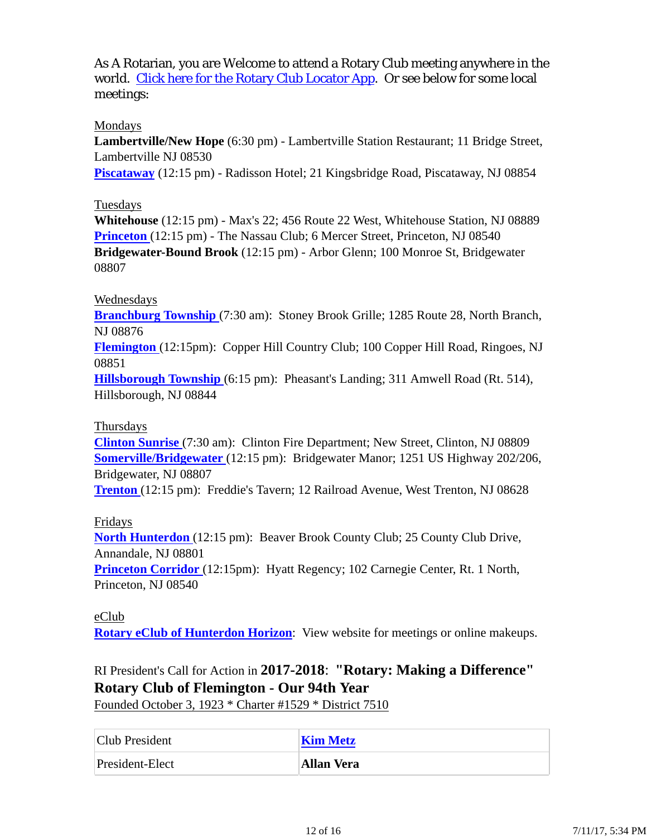As A Rotarian, you are Welcome to attend a Rotary Club meeting anywhere in the world. Click here for the Rotary Club Locator App. Or see below for some local meetings:

### Mondays

**Lambertville/New Hope** (6:30 pm) - Lambertville Station Restaurant; 11 Bridge Street, Lambertville NJ 08530

**Piscataway** (12:15 pm) - Radisson Hotel; 21 Kingsbridge Road, Piscataway, NJ 08854

### Tuesdays

**Whitehouse** (12:15 pm) - Max's 22; 456 Route 22 West, Whitehouse Station, NJ 08889 **Princeton** (12:15 pm) - The Nassau Club; 6 Mercer Street, Princeton, NJ 08540 **Bridgewater-Bound Brook** (12:15 pm) - Arbor Glenn; 100 Monroe St, Bridgewater 08807

#### Wednesdays

**Branchburg Township** (7:30 am): Stoney Brook Grille; 1285 Route 28, North Branch, NJ 08876

**Flemington** (12:15pm): Copper Hill Country Club; 100 Copper Hill Road, Ringoes, NJ 08851

**Hillsborough Township** (6:15 pm): Pheasant's Landing; 311 Amwell Road (Rt. 514), Hillsborough, NJ 08844

#### Thursdays

**Clinton Sunrise** (7:30 am): Clinton Fire Department; New Street, Clinton, NJ 08809 **Somerville/Bridgewater** (12:15 pm): Bridgewater Manor; 1251 US Highway 202/206, Bridgewater, NJ 08807

**Trenton** (12:15 pm): Freddie's Tavern; 12 Railroad Avenue, West Trenton, NJ 08628

### Fridays

**North Hunterdon** (12:15 pm): Beaver Brook County Club; 25 County Club Drive, Annandale, NJ 08801

**Princeton Corridor** (12:15pm): Hyatt Regency; 102 Carnegie Center, Rt. 1 North, Princeton, NJ 08540

### eClub

**Rotary eClub of Hunterdon Horizon**: View website for meetings or online makeups.

# RI President's Call for Action in **2017-2018**: **"Rotary: Making a Difference" Rotary Club of Flemington - Our 94th Year**

Founded October 3, 1923 \* Charter #1529 \* District 7510

| Club President  | <b>Kim Metz</b> |
|-----------------|-----------------|
| President-Elect | Allan Vera      |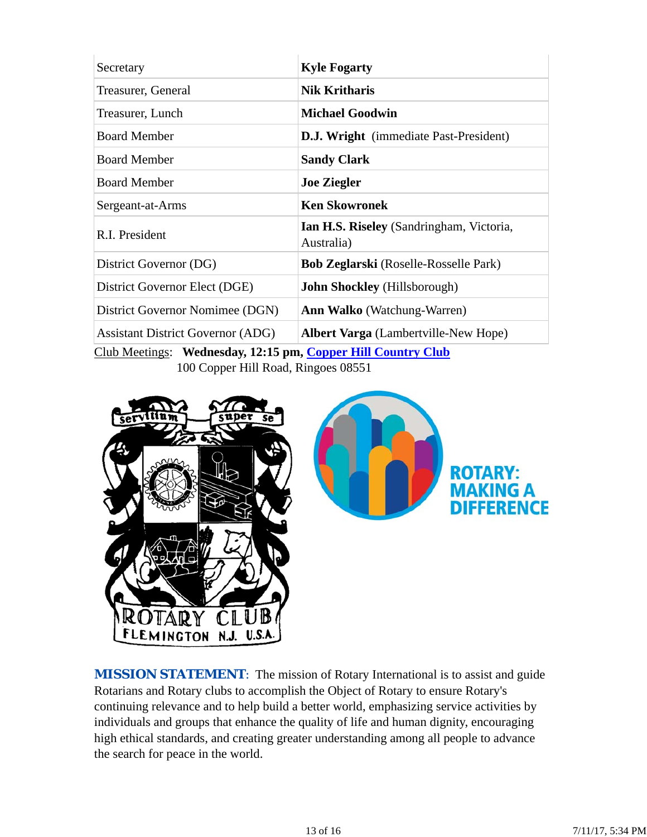| Secretary                                                    | <b>Kyle Fogarty</b>                                           |  |  |
|--------------------------------------------------------------|---------------------------------------------------------------|--|--|
| Treasurer, General                                           | <b>Nik Kritharis</b>                                          |  |  |
| Treasurer, Lunch                                             | <b>Michael Goodwin</b>                                        |  |  |
| <b>Board Member</b>                                          | <b>D.J. Wright</b> (immediate Past-President)                 |  |  |
| <b>Board Member</b>                                          | <b>Sandy Clark</b>                                            |  |  |
| <b>Board Member</b>                                          | <b>Joe Ziegler</b>                                            |  |  |
| Sergeant-at-Arms                                             | <b>Ken Skowronek</b>                                          |  |  |
| R.I. President                                               | <b>Ian H.S. Riseley</b> (Sandringham, Victoria,<br>Australia) |  |  |
| District Governor (DG)                                       | <b>Bob Zeglarski</b> (Roselle-Rosselle Park)                  |  |  |
| District Governor Elect (DGE)                                | <b>John Shockley</b> (Hillsborough)                           |  |  |
| District Governor Nomimee (DGN)                              | <b>Ann Walko</b> (Watchung-Warren)                            |  |  |
| <b>Assistant District Governor (ADG)</b>                     | <b>Albert Varga</b> (Lambertville-New Hope)                   |  |  |
| Club Meetings: Wednesday, 12:15 pm, Copper Hill Country Club |                                                               |  |  |

100 Copper Hill Road, Ringoes 08551





**MISSION STATEMENT:** The mission of Rotary International is to assist and guide Rotarians and Rotary clubs to accomplish the Object of Rotary to ensure Rotary's continuing relevance and to help build a better world, emphasizing service activities by individuals and groups that enhance the quality of life and human dignity, encouraging high ethical standards, and creating greater understanding among all people to advance the search for peace in the world.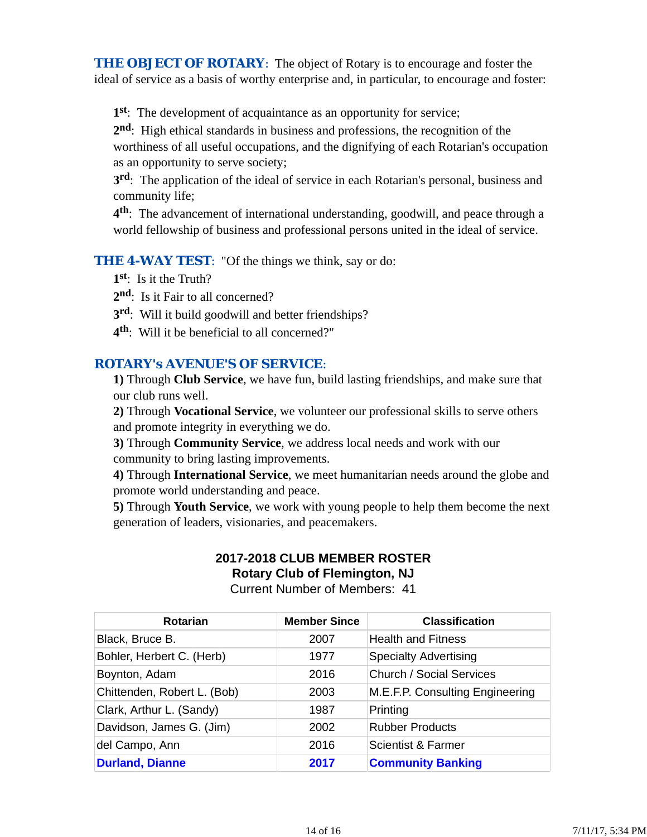**THE OBJECT OF ROTARY:** The object of Rotary is to encourage and foster the ideal of service as a basis of worthy enterprise and, in particular, to encourage and foster:

**1st**: The development of acquaintance as an opportunity for service;

**2nd**: High ethical standards in business and professions, the recognition of the worthiness of all useful occupations, and the dignifying of each Rotarian's occupation as an opportunity to serve society;

**3rd**: The application of the ideal of service in each Rotarian's personal, business and community life;

**4th**: The advancement of international understanding, goodwill, and peace through a world fellowship of business and professional persons united in the ideal of service.

**THE 4-WAY TEST:** "Of the things we think, say or do:

**1st**: Is it the Truth?

2<sup>nd</sup>: Is it Fair to all concerned?

**3rd**: Will it build goodwill and better friendships?

**4th**: Will it be beneficial to all concerned?"

# *ROTARY's AVENUE'S OF SERVICE*:

**1)** Through **Club Service**, we have fun, build lasting friendships, and make sure that our club runs well.

**2)** Through **Vocational Service**, we volunteer our professional skills to serve others and promote integrity in everything we do.

**3)** Through **Community Service**, we address local needs and work with our community to bring lasting improvements.

**4)** Through **International Service**, we meet humanitarian needs around the globe and promote world understanding and peace.

**5)** Through **Youth Service**, we work with young people to help them become the next generation of leaders, visionaries, and peacemakers.

# **2017-2018 CLUB MEMBER ROSTER**

**Rotary Club of Flemington, NJ**

Current Number of Members: 41

| <b>Rotarian</b>             | <b>Member Since</b> | <b>Classification</b>           |
|-----------------------------|---------------------|---------------------------------|
| Black, Bruce B.             | 2007                | <b>Health and Fitness</b>       |
| Bohler, Herbert C. (Herb)   | 1977                | <b>Specialty Advertising</b>    |
| Boynton, Adam               | 2016                | <b>Church / Social Services</b> |
| Chittenden, Robert L. (Bob) | 2003                | M.E.F.P. Consulting Engineering |
| Clark, Arthur L. (Sandy)    | 1987                | Printing                        |
| Davidson, James G. (Jim)    | 2002                | <b>Rubber Products</b>          |
| del Campo, Ann              | 2016                | Scientist & Farmer              |
| <b>Durland, Dianne</b>      | 2017                | <b>Community Banking</b>        |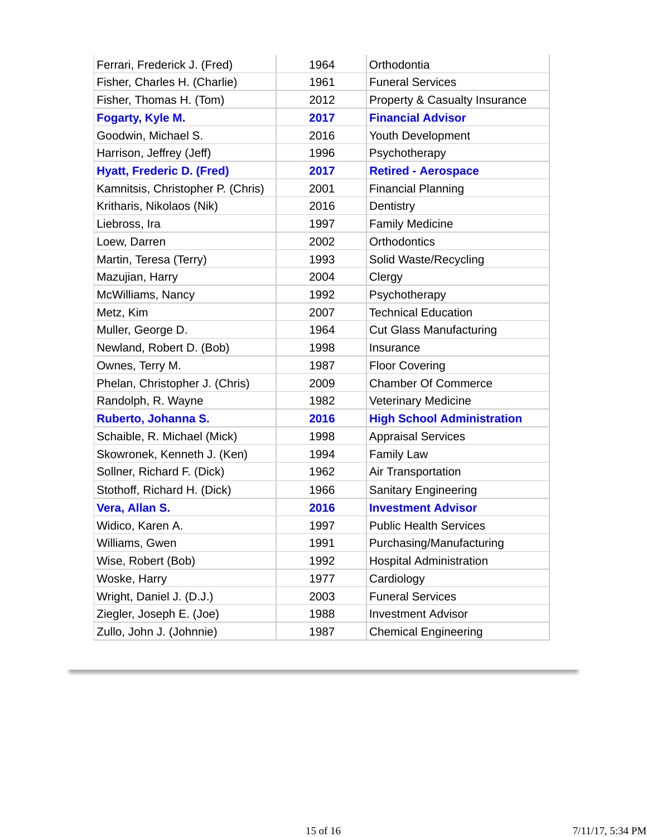| Ferrari, Frederick J. (Fred)      | 1964 | Orthodontia                       |
|-----------------------------------|------|-----------------------------------|
| Fisher, Charles H. (Charlie)      | 1961 | <b>Funeral Services</b>           |
| Fisher, Thomas H. (Tom)           | 2012 | Property & Casualty Insurance     |
| <b>Fogarty, Kyle M.</b>           | 2017 | <b>Financial Advisor</b>          |
| Goodwin, Michael S.               | 2016 | Youth Development                 |
| Harrison, Jeffrey (Jeff)          | 1996 | Psychotherapy                     |
| <b>Hyatt, Frederic D. (Fred)</b>  | 2017 | <b>Retired - Aerospace</b>        |
| Kamnitsis, Christopher P. (Chris) | 2001 | <b>Financial Planning</b>         |
| Kritharis, Nikolaos (Nik)         | 2016 | Dentistry                         |
| Liebross, Ira                     | 1997 | <b>Family Medicine</b>            |
| Loew, Darren                      | 2002 | <b>Orthodontics</b>               |
| Martin, Teresa (Terry)            | 1993 | Solid Waste/Recycling             |
| Mazujian, Harry                   | 2004 | Clergy                            |
| McWilliams, Nancy                 | 1992 | Psychotherapy                     |
| Metz, Kim                         | 2007 | <b>Technical Education</b>        |
| Muller, George D.                 | 1964 | <b>Cut Glass Manufacturing</b>    |
| Newland, Robert D. (Bob)          | 1998 | Insurance                         |
| Ownes, Terry M.                   | 1987 | <b>Floor Covering</b>             |
| Phelan, Christopher J. (Chris)    | 2009 | <b>Chamber Of Commerce</b>        |
| Randolph, R. Wayne                | 1982 | <b>Veterinary Medicine</b>        |
| Ruberto, Johanna S.               | 2016 | <b>High School Administration</b> |
| Schaible, R. Michael (Mick)       | 1998 | <b>Appraisal Services</b>         |
| Skowronek, Kenneth J. (Ken)       | 1994 | <b>Family Law</b>                 |
| Sollner, Richard F. (Dick)        | 1962 | Air Transportation                |
| Stothoff, Richard H. (Dick)       | 1966 | <b>Sanitary Engineering</b>       |
| Vera, Allan S.                    | 2016 | <b>Investment Advisor</b>         |
| Widico, Karen A.                  | 1997 | <b>Public Health Services</b>     |
| Williams, Gwen                    | 1991 | Purchasing/Manufacturing          |
| Wise, Robert (Bob)                | 1992 | <b>Hospital Administration</b>    |
| Woske, Harry                      | 1977 | Cardiology                        |
| Wright, Daniel J. (D.J.)          | 2003 | <b>Funeral Services</b>           |
| Ziegler, Joseph E. (Joe)          | 1988 | <b>Investment Advisor</b>         |
| Zullo, John J. (Johnnie)          | 1987 | <b>Chemical Engineering</b>       |